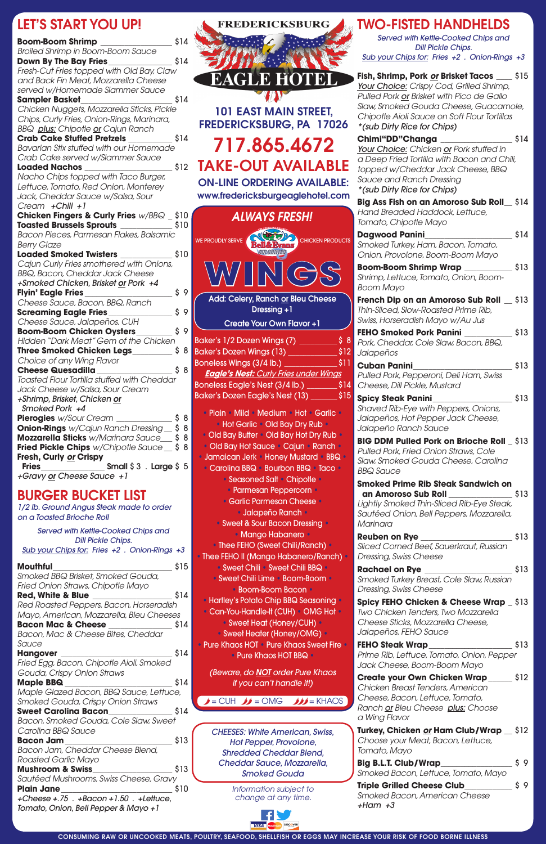## BURGER BUCKET LIST

*1/2 lb. Ground Angus Steak made to order on a Toasted Brioche Roll*

*Served with Kettle-Cooked Chips and Dill Pickle Chips. Sub your Chips for: Fries +2 . Onion-Rings +3* 

| Smoked BBQ Brisket, Smoked Gouda,<br>Fried Onion Straws, Chipotle Mayo<br>\$14<br><b>Red, White &amp; Blue</b> ______________<br>Red Roasted Peppers, Bacon, Horseradish<br>Mayo, American, Mozzarella, Bleu Cheeses<br><b>Bacon Mac &amp; Cheese</b><br>Bacon, Mac & Cheese Bites, Cheddar<br>Sauce<br>\$14<br>Hangover __<br><b>Hangover</b><br>Fried Egg, Bacon, Chipotle Aioli, Smoked<br>Gouda, Crispy Onion Straws<br>\$14<br>Maple <b>BBQ</b><br>Maple Glazed Bacon, BBQ Sauce, Lettuce,<br>Smoked Gouda, Crispy Onion Straws<br>\$14<br>Sweet Carolina Bacon____________<br>Bacon, Smoked Gouda, Cole Slaw, Sweet<br>Carolina BBQ Sauce<br>\$13<br><b>Bacon Jam</b> Parties of the Second State of the Second State of the Second State of the Second State of the Second State of the Second State of the Second State of the Second State of the Second State of the Second State of<br>Bacon Jam, Cheddar Cheese Blend,<br>Roasted Garlic Mayo<br>Mushroom & Swiss_________<br>\$13<br>Sautéed Mushrooms, Swiss Cheese, Gravy<br>Plain Jane_____________<br>\$10<br>+Cheese +.75 . +Bacon +1.50 . +Lettuce,<br>Tomato, Onion, Bell Pepper & Mayo + 1 | <b>Mouthful</b> | \$15 |
|-----------------------------------------------------------------------------------------------------------------------------------------------------------------------------------------------------------------------------------------------------------------------------------------------------------------------------------------------------------------------------------------------------------------------------------------------------------------------------------------------------------------------------------------------------------------------------------------------------------------------------------------------------------------------------------------------------------------------------------------------------------------------------------------------------------------------------------------------------------------------------------------------------------------------------------------------------------------------------------------------------------------------------------------------------------------------------------------------------------------------------------------------------------------|-----------------|------|
|                                                                                                                                                                                                                                                                                                                                                                                                                                                                                                                                                                                                                                                                                                                                                                                                                                                                                                                                                                                                                                                                                                                                                                 |                 |      |
|                                                                                                                                                                                                                                                                                                                                                                                                                                                                                                                                                                                                                                                                                                                                                                                                                                                                                                                                                                                                                                                                                                                                                                 |                 |      |
|                                                                                                                                                                                                                                                                                                                                                                                                                                                                                                                                                                                                                                                                                                                                                                                                                                                                                                                                                                                                                                                                                                                                                                 |                 |      |
|                                                                                                                                                                                                                                                                                                                                                                                                                                                                                                                                                                                                                                                                                                                                                                                                                                                                                                                                                                                                                                                                                                                                                                 |                 |      |
|                                                                                                                                                                                                                                                                                                                                                                                                                                                                                                                                                                                                                                                                                                                                                                                                                                                                                                                                                                                                                                                                                                                                                                 |                 |      |
|                                                                                                                                                                                                                                                                                                                                                                                                                                                                                                                                                                                                                                                                                                                                                                                                                                                                                                                                                                                                                                                                                                                                                                 |                 |      |
|                                                                                                                                                                                                                                                                                                                                                                                                                                                                                                                                                                                                                                                                                                                                                                                                                                                                                                                                                                                                                                                                                                                                                                 |                 |      |
|                                                                                                                                                                                                                                                                                                                                                                                                                                                                                                                                                                                                                                                                                                                                                                                                                                                                                                                                                                                                                                                                                                                                                                 |                 |      |
|                                                                                                                                                                                                                                                                                                                                                                                                                                                                                                                                                                                                                                                                                                                                                                                                                                                                                                                                                                                                                                                                                                                                                                 |                 |      |
|                                                                                                                                                                                                                                                                                                                                                                                                                                                                                                                                                                                                                                                                                                                                                                                                                                                                                                                                                                                                                                                                                                                                                                 |                 |      |
|                                                                                                                                                                                                                                                                                                                                                                                                                                                                                                                                                                                                                                                                                                                                                                                                                                                                                                                                                                                                                                                                                                                                                                 |                 |      |
|                                                                                                                                                                                                                                                                                                                                                                                                                                                                                                                                                                                                                                                                                                                                                                                                                                                                                                                                                                                                                                                                                                                                                                 |                 |      |
|                                                                                                                                                                                                                                                                                                                                                                                                                                                                                                                                                                                                                                                                                                                                                                                                                                                                                                                                                                                                                                                                                                                                                                 |                 |      |
|                                                                                                                                                                                                                                                                                                                                                                                                                                                                                                                                                                                                                                                                                                                                                                                                                                                                                                                                                                                                                                                                                                                                                                 |                 |      |
|                                                                                                                                                                                                                                                                                                                                                                                                                                                                                                                                                                                                                                                                                                                                                                                                                                                                                                                                                                                                                                                                                                                                                                 |                 |      |
|                                                                                                                                                                                                                                                                                                                                                                                                                                                                                                                                                                                                                                                                                                                                                                                                                                                                                                                                                                                                                                                                                                                                                                 |                 |      |
|                                                                                                                                                                                                                                                                                                                                                                                                                                                                                                                                                                                                                                                                                                                                                                                                                                                                                                                                                                                                                                                                                                                                                                 |                 |      |
|                                                                                                                                                                                                                                                                                                                                                                                                                                                                                                                                                                                                                                                                                                                                                                                                                                                                                                                                                                                                                                                                                                                                                                 |                 |      |
|                                                                                                                                                                                                                                                                                                                                                                                                                                                                                                                                                                                                                                                                                                                                                                                                                                                                                                                                                                                                                                                                                                                                                                 |                 |      |
|                                                                                                                                                                                                                                                                                                                                                                                                                                                                                                                                                                                                                                                                                                                                                                                                                                                                                                                                                                                                                                                                                                                                                                 |                 |      |
|                                                                                                                                                                                                                                                                                                                                                                                                                                                                                                                                                                                                                                                                                                                                                                                                                                                                                                                                                                                                                                                                                                                                                                 |                 |      |
|                                                                                                                                                                                                                                                                                                                                                                                                                                                                                                                                                                                                                                                                                                                                                                                                                                                                                                                                                                                                                                                                                                                                                                 |                 |      |
|                                                                                                                                                                                                                                                                                                                                                                                                                                                                                                                                                                                                                                                                                                                                                                                                                                                                                                                                                                                                                                                                                                                                                                 |                 |      |
|                                                                                                                                                                                                                                                                                                                                                                                                                                                                                                                                                                                                                                                                                                                                                                                                                                                                                                                                                                                                                                                                                                                                                                 |                 |      |
|                                                                                                                                                                                                                                                                                                                                                                                                                                                                                                                                                                                                                                                                                                                                                                                                                                                                                                                                                                                                                                                                                                                                                                 |                 |      |

**Triple Grilled Cheese Club** \$ 9 *Smoked Bacon, American Cheese +Ham +3*



## LET'S START VOLLEED!

| LLI V VIANI TVV VI ;                                                                   |      |                                         |
|----------------------------------------------------------------------------------------|------|-----------------------------------------|
| <b>Boom-Boom Shrimp</b>                                                                | 314  |                                         |
| Broiled Shrimp in Boom-Boom Sauce                                                      |      |                                         |
| Down By The Bay Fries_____________                                                     | \$14 |                                         |
| Fresh-Cut Fries topped with Old Bay, Claw                                              |      |                                         |
| and Back Fin Meat, Mozzarella Cheese                                                   |      | <b>EAGLE HOT</b>                        |
| served w/Homemade Slammer Sauce                                                        |      |                                         |
| Sampler Basket___________________                                                      | \$14 |                                         |
| Chicken Nuggets, Mozzarella Sticks, Pickle                                             |      | <b>101 EAST MAIN STR</b>                |
| Chips, Curly Fries, Onion-Rings, Marinara,                                             |      | <b>FREDERICKSBURG, PA</b>               |
| <b>BBQ</b> plus: Chipotle or Cajun Ranch                                               |      |                                         |
| <b>Crab Cake Stuffed Pretzels</b>                                                      | \$14 | 717.865.46                              |
| Bavarian Stix stuffed with our Homemade                                                |      |                                         |
| Crab Cake served w/Slammer Sauce                                                       |      |                                         |
| <b>Loaded Nachos</b>                                                                   |      | \$12 TAKE-OUT AVAIL                     |
| Nacho Chips topped with Taco Burger,                                                   |      | <b>ON-LINE ORDERING AVA</b>             |
| Lettuce, Tomato, Red Onion, Monterey                                                   |      |                                         |
| Jack, Cheddar Sauce w/Salsa, Sour                                                      |      | www.fredericksburgeagleho               |
| Cream +Chili +1                                                                        |      |                                         |
| <b>Chicken Fingers &amp; Curly Fries</b> $w/BBQ = $10$                                 |      | <b>ALWAYS FRESH!</b>                    |
| Toasted Brussels Sprouts _____________ \$10<br>Bacon Pieces, Parmesan Flakes, Balsamic |      |                                         |
| <b>Berry Glaze</b>                                                                     |      | <b>WE PROUDLY SERVE</b><br><b>CHIC</b>  |
| <b>Loaded Smoked Twisters</b>                                                          | \$10 |                                         |
| Cajun Curly Fries smothered with Onions,                                               |      |                                         |
| <b>BBQ, Bacon, Cheddar Jack Cheese</b>                                                 |      | $N$ $N$ $N$ $N$ $N$ $N$<br>$\mathbb{G}$ |
| +Smoked Chicken, Brisket or Pork +4                                                    |      |                                         |
| Flyin' Eagle Fries_                                                                    | \$9  |                                         |
| Cheese Sauce, Bacon, BBQ, Ranch                                                        |      | Add: Celery, Ranch or Bleu C            |
| Screaming Eagle Fries_                                                                 | \$9  | Dressing +1                             |
| Cheese Sauce, Jalapeños, CUH                                                           |      | <b>Create Your Own Flavor -</b>         |
| <b>Boom-Boom Chicken Oysters</b>                                                       | \$9  |                                         |
| Hidden "Dark Meat" Gem of the Chicken                                                  |      | Baker's 1/2 Dozen Wings (7) ____        |
|                                                                                        |      | Baker's Dozen Wings (13)                |
| Choice of any Wing Flavor                                                              |      | Boneless Wings (3/4 lb.)                |
| <b>Cheese Quesadilla</b>                                                               | \$8  | <b>Eagle's Nest: Curly Fries unde</b>   |
| Toasted Flour Tortilla stuffed with Cheddar                                            |      | Boneless Eagle's Nest (3/4 lb.) _       |
| Jack Cheese w/Salsa, Sour Cream                                                        |      | Baker's Dozen Eagle's Nest (13) _       |
| +Shrimp, Brisket, Chicken or                                                           |      |                                         |
| <b>Smoked Pork +4</b>                                                                  |      | • Plain • Mild • Medium • Hot •         |
| Pierogies w/Sour Cream _________<br>\$                                                 | -8   | • Hot Garlic • Old Bay Dry R            |
| \$<br><b>Onion-Rings</b> w/Cajun Ranch Dressing __                                     | 8    | • Old Bay Butter • Old Bay Hot D        |
| <b>Mozzarella Sticks</b> w/Marinara Sauce___ \$                                        | 8    | • Old Bay Hot Sauce • Cajun • I         |
| <b>Fried Pickle Chips</b> w/Chipotle Sauce _ \$ 8                                      |      |                                         |
| Fresh, Curly <u>or</u> Crispy                                                          |      | • Jamaican Jerk • Honey Mustar          |
| <b>Fries</b><br>Small $$3$ . Large $$5$                                                |      | • Carolina BBQ • Bourbon BBQ            |
| +Gravy <u>or</u> Cheese Sauce +1                                                       |      | • Seasoned Salt • Chipotle              |

*CHEESES: White American, Swiss, Hot Pepper, Provolone, Shredded Cheddar Blend, Cheddar Sauce, Mozzarella, Smoked Gouda*

CONSUMING RAW OR UNCOOKED MEATS, POULTRY, SEAFOOD, SHELLFISH OR EGGS MAY INCREASE YOUR RISK OF FOOD BORNE ILLNESS

#### TWO-FISTED HANDHELDS

• Plain • Mild • Medium • Hot • Garlic • Hot Garlic • Old Bay Dry Rub • • Old Bay Butter • Old Bay Hot Dry Rub • • Old Bay Hot Sauce • Cajun • Ranch • • Jamaican Jerk • Honey Mustard • BBQ • Carolina BBQ • Bourbon BBQ • Taco • • Seasoned Salt • Chipotle • • Parmesan Peppercorn • • Garlic Parmesan Cheese • • Jalapeño Ranch • • Sweet & Sour Bacon Dressing • • Mango Habanero • • Thee FEHO (Sweet Chili/Ranch) • • Thee FEHO II (Mango Habanero/Ranch) • • Sweet Chili • Sweet Chili BBQ • • Sweet Chili Lime • Boom-Boom • • Boom-Boom Bacon • • Hartley's Potato Chip BBQ Seasoning • • Can-You-Handle-It (CUH) • OMG Hot •

• Sweet Heat (Honey/CUH) • • Sweet Heater (Honey/OMG) • • Pure Khaos HOT • Pure Khaos Sweet Fire • • Pure Khaos HOT BBQ •

*Served with Kettle-Cooked Chips and Dill Pickle Chips. Sub your Chips for: Fries +2 . Onion-Rings +3* 

**Fish, Shrimp, Pork** *or* **Brisket Tacos \_\_\_\_** \$15 *Your Choice: Crispy Cod, Grilled Shrimp, Pulled Pork or Brisket with Pico de Gallo Slaw, Smoked Gouda Cheese, Guacamole, Chipotle Aioli Sauce on Soft Flour Tortillas \*(sub Dirty Rice for Chips)*

| FREDERICKSBURG, PA 17026                                                         | *(sub Dirty Rice for Chips)                                                     |      |
|----------------------------------------------------------------------------------|---------------------------------------------------------------------------------|------|
|                                                                                  | Chimi"DD"Changa ___________________ \$14                                        |      |
| 717.865.4672                                                                     | Your Choice: Chicken or Pork stuffed in                                         |      |
| <b>TAKE-OUT AVAILABLE</b>                                                        | a Deep Fried Tortilla with Bacon and Chili,                                     |      |
|                                                                                  | topped w/Cheddar Jack Cheese, BBQ                                               |      |
| <b>ON-LINE ORDERING AVAILABLE:</b>                                               | Sauce and Ranch Dressing<br>*(sub Dirty Rice for Chips)                         |      |
| www.fredericksburgeaglehotel.com                                                 |                                                                                 |      |
|                                                                                  | Big Ass Fish on an Amoroso Sub Roll_\$14<br>Hand Breaded Haddock, Lettuce,      |      |
| <b>ALWAYS FRESH!</b>                                                             | Tomato, Chipotle Mayo                                                           |      |
|                                                                                  | Dagwood Panini_                                                                 | \$14 |
| WE PROUDLY SERVE<br><b>CHICKEN PRODUCTS</b>                                      | Smoked Turkey, Ham, Bacon, Tomato,                                              |      |
|                                                                                  | Onion, Provolone, Boom-Boom Mayo                                                |      |
|                                                                                  | Boom-Boom Shrimp Wrap ______________ \$13                                       |      |
| N(G)S                                                                            | Shrimp, Lettuce, Tomato, Onion, Boom-                                           |      |
|                                                                                  | <b>Boom Mayo</b>                                                                |      |
| Add: Celery, Ranch or Bleu Cheese                                                | French Dip on an Amoroso Sub Roll _\$13                                         |      |
| Dressing +1                                                                      | Thin-Sliced, Slow-Roasted Prime Rib,                                            |      |
| Create Your Own Flavor +1                                                        | Swiss, Horseradish Mayo w/Au Jus                                                |      |
| Baker's 1/2 Dozen Wings (7) ______________ \$ 8                                  | <b>FEHO Smoked Pork Panini</b> 513                                              |      |
|                                                                                  | Pork, Cheddar, Cole Slaw, Bacon, BBQ,<br>Jalapeños                              |      |
|                                                                                  |                                                                                 | \$13 |
| <b>Eagle's Nest: Curly Fries under Wings</b>                                     | <b>Cuban Panini</b><br>Pulled Pork, Pepperoni, Deli Ham, Swiss                  |      |
| Boneless Eagle's Nest (3/4 lb.) _________ \$14                                   | Cheese, Dill Pickle, Mustard                                                    |      |
| Baker's Dozen Eagle's Nest (13) _______ \$15                                     | Spicy Steak Panini________________                                              | \$13 |
|                                                                                  | Shaved Rib-Eye with Peppers, Onions,                                            |      |
| • Plain • Mild • Medium • Hot • Garlic •                                         | Jalapeños, Hot Pepper Jack Cheese,                                              |      |
| • Hot Garlic • Old Bay Dry Rub •                                                 | Jalapeño Ranch Sauce                                                            |      |
| • Old Bay Butter • Old Bay Hot Dry Rub •                                         | BIG DDM Pulled Pork on Brioche Roll _ \$13                                      |      |
| • Old Bay Hot Sauce • Cajun • Ranch •<br>• Jamaican Jerk • Honey Mustard • BBQ • | Pulled Pork, Fried Onion Straws, Cole                                           |      |
| • Carolina BBQ • Bourbon BBQ • Taco •                                            | Slaw, Smoked Gouda Cheese, Carolina                                             |      |
| • Seasoned Salt • Chipotle •                                                     | <b>BBQ Sauce</b>                                                                |      |
| • Parmesan Peppercorn •                                                          | <b>Smoked Prime Rib Steak Sandwich on</b>                                       |      |
| • Garlic Parmesan Cheese •                                                       | an Amoroso Sub Roll <b>Amoroso</b><br>Lightly Smoked Thin-Sliced Rib-Eye Steak, | \$13 |
| • Jalapeño Ranch •                                                               | Sautéed Onion, Bell Peppers, Mozzarella,                                        |      |
| • Sweet & Sour Bacon Dressing •                                                  | Marinara                                                                        |      |
| • Mango Habanero •                                                               | <b>Reuben on Rye</b> ___________________                                        | \$13 |
| • Thee FEHO (Sweet Chili/Ranch) •                                                | Sliced Corned Beef, Sauerkraut, Russian                                         |      |
| • Thee FEHO II (Mango Habanero/Ranch) •                                          | Dressing, Swiss Cheese                                                          |      |
| • Sweet Chili • Sweet Chili BBQ •                                                | Rachael on Rye _______________                                                  | \$13 |
| • Sweet Chili Lime • Boom-Boom •                                                 | Smoked Turkey Breast, Cole Slaw, Russian                                        |      |
| • Boom-Boom Bacon •                                                              | Dressing, Swiss Cheese                                                          |      |
| • Hartley's Potato Chip BBQ Seasonina •                                          | Spicy FFHO Chicken & Cheese Wrap $$13$                                          |      |

**Spicy FEHO Chicken & Cheese Wrap \_** \$13 *Two Chicken Tenders, Two Mozzarella* 

*Cheese Sticks, Mozzarella Cheese, Jalapeños, FEHO Sauce*

#### **FEHO Steak Wrap\_\_\_\_\_\_\_\_\_\_\_\_\_\_\_\_\_\_\_\_\_** \$13

*Prime Rib, Lettuce, Tomato, Onion, Pepper Jack Cheese, Boom-Boom Mayo*

**Create your Own Chicken Wrap\_\_\_\_\_\_** \$12 *Chicken Breast Tenders, American Cheese, Bacon, Lettuce, Tomato, Ranch or Bleu Cheese plus: Choose a Wing Flavor*

**Turkey, Chicken** *or* **Ham Club/Wrap \_\_** \$12 *Choose your Meat, Bacon, Lettuce, Tomato, Mayo*

| <b>Big B.L.T. Club/Wrap</b>         | \$9 |  |
|-------------------------------------|-----|--|
| Smoked Bacon, Lettuce, Tomato, Mayo |     |  |

*(Beware, do NOT order Pure Khaos if you can't handle it!)*

 $\rightarrow$  = CUH  $\rightarrow$  = OMG  $\rightarrow$   $\rightarrow$  KHAOS

*Information subject to change at any time.*